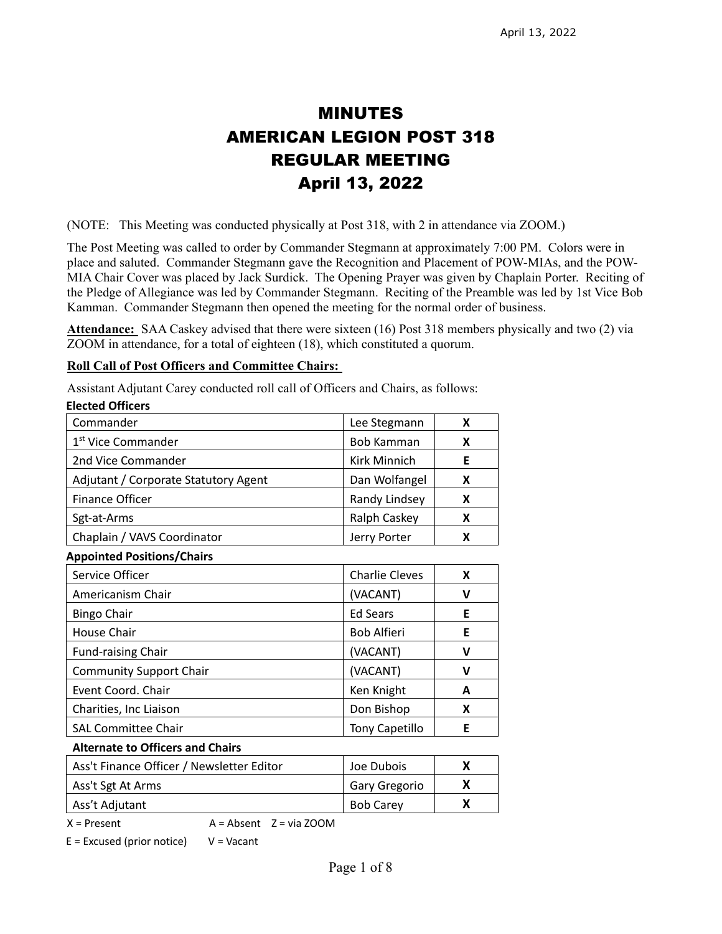# MINUTES AMERICAN LEGION POST 318 REGULAR MEETING April 13, 2022

(NOTE: This Meeting was conducted physically at Post 318, with 2 in attendance via ZOOM.)

The Post Meeting was called to order by Commander Stegmann at approximately 7:00 PM. Colors were in place and saluted. Commander Stegmann gave the Recognition and Placement of POW-MIAs, and the POW-MIA Chair Cover was placed by Jack Surdick. The Opening Prayer was given by Chaplain Porter. Reciting of the Pledge of Allegiance was led by Commander Stegmann. Reciting of the Preamble was led by 1st Vice Bob Kamman. Commander Stegmann then opened the meeting for the normal order of business.

**Attendance:** SAA Caskey advised that there were sixteen (16) Post 318 members physically and two (2) via ZOOM in attendance, for a total of eighteen (18), which constituted a quorum.

#### **Roll Call of Post Officers and Committee Chairs:**

Assistant Adjutant Carey conducted roll call of Officers and Chairs, as follows:

| <b>Elected Officers</b>              |                       |   |
|--------------------------------------|-----------------------|---|
| Commander                            | Lee Stegmann          | X |
| 1 <sup>st</sup> Vice Commander       | Bob Kamman            | X |
| 2nd Vice Commander                   | Kirk Minnich          | Е |
| Adjutant / Corporate Statutory Agent | Dan Wolfangel         | X |
| <b>Finance Officer</b>               | Randy Lindsey         | X |
| Sgt-at-Arms                          | Ralph Caskey          | X |
| Chaplain / VAVS Coordinator          | Jerry Porter          | X |
| <b>Appointed Positions/Chairs</b>    |                       |   |
| Service Officer                      | <b>Charlie Cleves</b> | X |
| Americanism Chair                    | (VACANT)              | V |
| <b>Bingo Chair</b>                   | <b>Ed Sears</b>       | Е |
| <b>House Chair</b>                   | <b>Bob Alfieri</b>    | F |
| <b>Fund-raising Chair</b>            | (VACANT)              | v |
| <b>Community Support Chair</b>       | (VACANT)              | V |
| Event Coord. Chair                   | Ken Knight            | A |
| Charities, Inc Liaison               | Don Bishop            | x |
| <b>SAL Committee Chair</b>           | <b>Tony Capetillo</b> | Е |
|                                      |                       |   |

#### **Alternate to Officers and Chairs**

| Ass't Finance Officer / Newsletter Editor | Joe Dubois           |  |
|-------------------------------------------|----------------------|--|
| Ass't Sgt At Arms                         | <b>Gary Gregorio</b> |  |
| Ass't Adjutant                            | <b>Bob Carey</b>     |  |

 $X =$  Present  $A =$  Absent  $Z =$  via ZOOM

 $E = Excused (prior notice)$   $V = Vacant$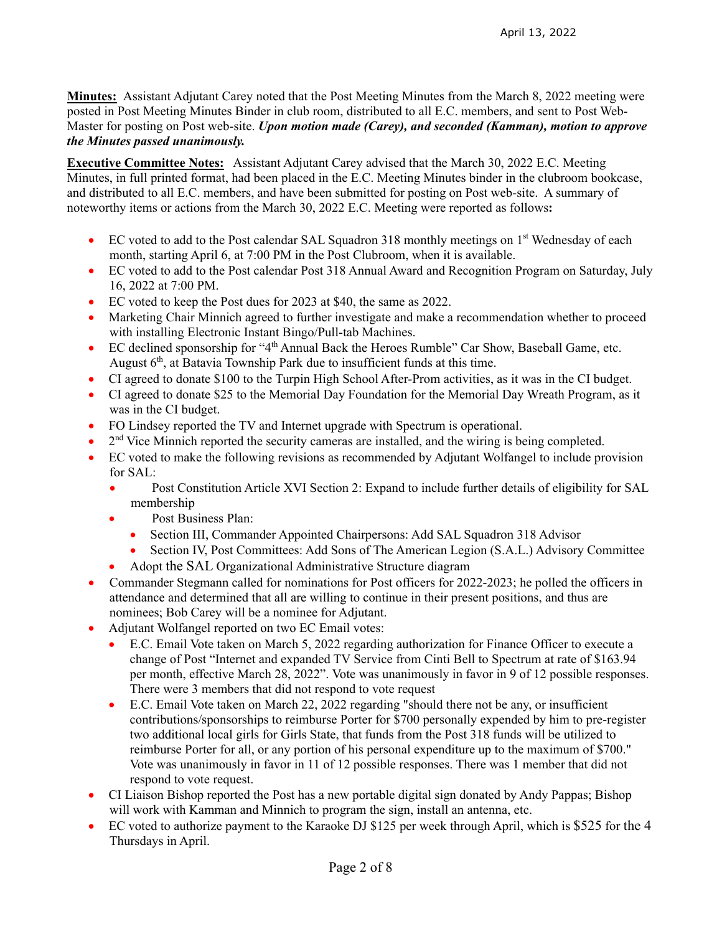**Minutes:** Assistant Adjutant Carey noted that the Post Meeting Minutes from the March 8, 2022 meeting were posted in Post Meeting Minutes Binder in club room, distributed to all E.C. members, and sent to Post Web-Master for posting on Post web-site. *Upon motion made (Carey), and seconded (Kamman), motion to approve the Minutes passed unanimously.* 

**Executive Committee Notes:** Assistant Adjutant Carey advised that the March 30, 2022 E.C. Meeting Minutes, in full printed format, had been placed in the E.C. Meeting Minutes binder in the clubroom bookcase, and distributed to all E.C. members, and have been submitted for posting on Post web-site. A summary of noteworthy items or actions from the March 30, 2022 E.C. Meeting were reported as follows**:**

- EC voted to add to the Post calendar SAL Squadron 318 monthly meetings on 1<sup>st</sup> Wednesday of each month, starting April 6, at 7:00 PM in the Post Clubroom, when it is available.
- EC voted to add to the Post calendar Post 318 Annual Award and Recognition Program on Saturday, July 16, 2022 at 7:00 PM.
- EC voted to keep the Post dues for 2023 at \$40, the same as 2022.
- Marketing Chair Minnich agreed to further investigate and make a recommendation whether to proceed with installing Electronic Instant Bingo/Pull-tab Machines.
- EC declined sponsorship for "4th Annual Back the Heroes Rumble" Car Show, Baseball Game, etc. August  $6<sup>th</sup>$ , at Batavia Township Park due to insufficient funds at this time.
- CI agreed to donate \$100 to the Turpin High School After-Prom activities, as it was in the CI budget.
- CI agreed to donate \$25 to the Memorial Day Foundation for the Memorial Day Wreath Program, as it was in the CI budget.
- FO Lindsey reported the TV and Internet upgrade with Spectrum is operational.
- $\bullet$  2<sup>nd</sup> Vice Minnich reported the security cameras are installed, and the wiring is being completed.
- EC voted to make the following revisions as recommended by Adjutant Wolfangel to include provision for SAL:
	- Post Constitution Article XVI Section 2: Expand to include further details of eligibility for SAL membership
	- Post Business Plan:
		- Section III, Commander Appointed Chairpersons: Add SAL Squadron 318 Advisor
		- Section IV, Post Committees: Add Sons of The American Legion (S.A.L.) Advisory Committee
	- Adopt the SAL Organizational Administrative Structure diagram
- Commander Stegmann called for nominations for Post officers for 2022-2023; he polled the officers in attendance and determined that all are willing to continue in their present positions, and thus are nominees; Bob Carey will be a nominee for Adjutant.
- Adjutant Wolfangel reported on two EC Email votes:
	- E.C. Email Vote taken on March 5, 2022 regarding authorization for Finance Officer to execute a change of Post "Internet and expanded TV Service from Cinti Bell to Spectrum at rate of \$163.94 per month, effective March 28, 2022". Vote was unanimously in favor in 9 of 12 possible responses. There were 3 members that did not respond to vote request
	- E.C. Email Vote taken on March 22, 2022 regarding "should there not be any, or insufficient contributions/sponsorships to reimburse Porter for \$700 personally expended by him to pre-register two additional local girls for Girls State, that funds from the Post 318 funds will be utilized to reimburse Porter for all, or any portion of his personal expenditure up to the maximum of \$700." Vote was unanimously in favor in 11 of 12 possible responses. There was 1 member that did not respond to vote request.
- CI Liaison Bishop reported the Post has a new portable digital sign donated by Andy Pappas; Bishop will work with Kamman and Minnich to program the sign, install an antenna, etc.
- EC voted to authorize payment to the Karaoke DJ \$125 per week through April, which is \$525 for the 4 Thursdays in April.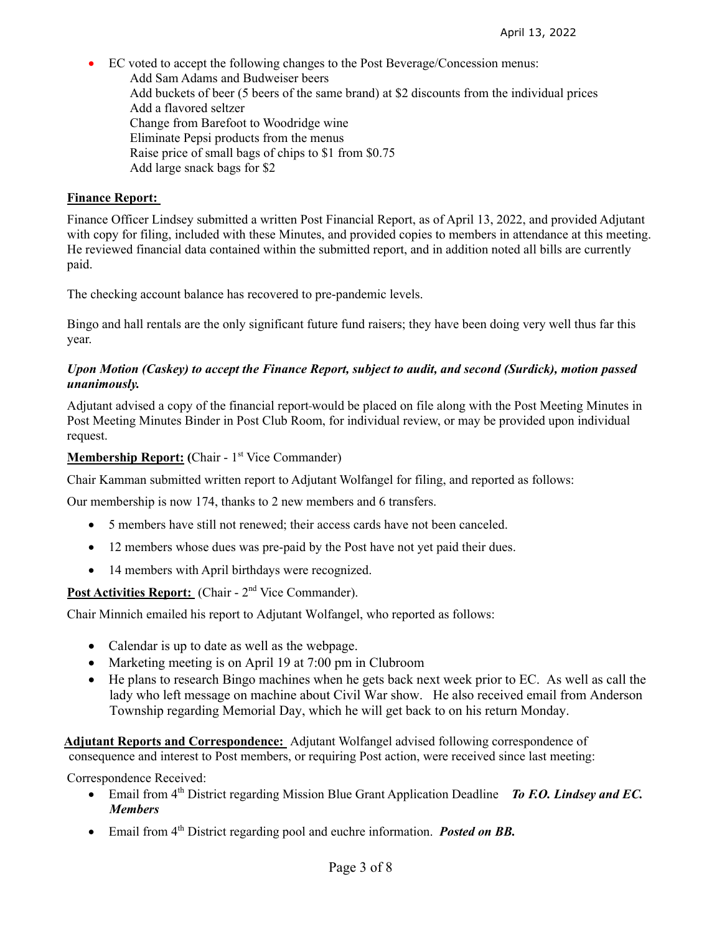EC voted to accept the following changes to the Post Beverage/Concession menus: Add Sam Adams and Budweiser beers Add buckets of beer (5 beers of the same brand) at \$2 discounts from the individual prices Add a flavored seltzer Change from Barefoot to Woodridge wine Eliminate Pepsi products from the menus Raise price of small bags of chips to \$1 from \$0.75 Add large snack bags for \$2

#### **Finance Report:**

Finance Officer Lindsey submitted a written Post Financial Report, as of April 13, 2022, and provided Adjutant with copy for filing, included with these Minutes, and provided copies to members in attendance at this meeting. He reviewed financial data contained within the submitted report, and in addition noted all bills are currently paid.

The checking account balance has recovered to pre-pandemic levels.

Bingo and hall rentals are the only significant future fund raisers; they have been doing very well thus far this year.

#### *Upon Motion (Caskey) to accept the Finance Report, subject to audit, and second (Surdick), motion passed unanimously.*

Adjutant advised a copy of the financial report would be placed on file along with the Post Meeting Minutes in Post Meeting Minutes Binder in Post Club Room, for individual review, or may be provided upon individual request.

#### **Membership Report:** (Chair - 1<sup>st</sup> Vice Commander)

Chair Kamman submitted written report to Adjutant Wolfangel for filing, and reported as follows:

Our membership is now 174, thanks to 2 new members and 6 transfers.

- 5 members have still not renewed; their access cards have not been canceled.
- 12 members whose dues was pre-paid by the Post have not yet paid their dues.
- 14 members with April birthdays were recognized.

Post Activities Report: (Chair - 2<sup>nd</sup> Vice Commander).

Chair Minnich emailed his report to Adjutant Wolfangel, who reported as follows:

- Calendar is up to date as well as the webpage.
- Marketing meeting is on April 19 at 7:00 pm in Clubroom
- He plans to research Bingo machines when he gets back next week prior to EC. As well as call the lady who left message on machine about Civil War show. He also received email from Anderson Township regarding Memorial Day, which he will get back to on his return Monday.

 **Adjutant Reports and Correspondence:** Adjutant Wolfangel advised following correspondence of consequence and interest to Post members, or requiring Post action, were received since last meeting:

Correspondence Received:

- Email from 4<sup>th</sup> District regarding Mission Blue Grant Application Deadline *To F.O. Lindsey and EC. Members*
- Email from 4th District regarding pool and euchre information. *Posted on BB.*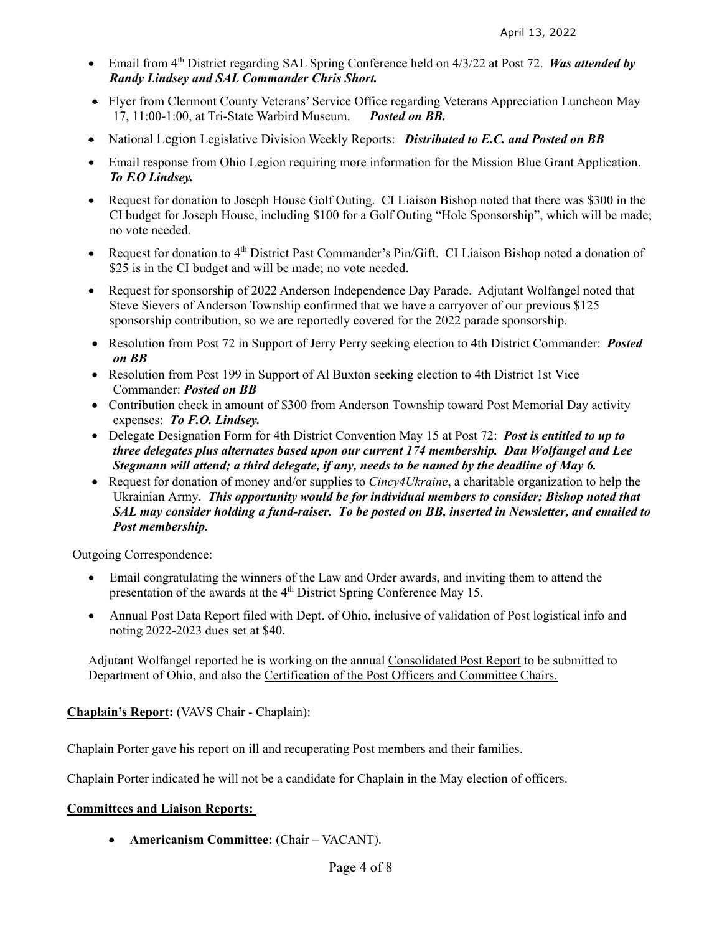- Email from 4th District regarding SAL Spring Conference held on 4/3/22 at Post 72. *Was attended by Randy Lindsey and SAL Commander Chris Short.*
- Flyer from Clermont County Veterans' Service Office regarding Veterans Appreciation Luncheon May 17, 11:00-1:00, at Tri-State Warbird Museum. *Posted on BB.*
- National Legion Legislative Division Weekly Reports: *Distributed to E.C. and Posted on BB*
- Email response from Ohio Legion requiring more information for the Mission Blue Grant Application. *To F.O Lindsey.*
- Request for donation to Joseph House Golf Outing. CI Liaison Bishop noted that there was \$300 in the CI budget for Joseph House, including \$100 for a Golf Outing "Hole Sponsorship", which will be made; no vote needed.
- Request for donation to 4<sup>th</sup> District Past Commander's Pin/Gift. CI Liaison Bishop noted a donation of \$25 is in the CI budget and will be made; no vote needed.
- Request for sponsorship of 2022 Anderson Independence Day Parade. Adjutant Wolfangel noted that Steve Sievers of Anderson Township confirmed that we have a carryover of our previous \$125 sponsorship contribution, so we are reportedly covered for the 2022 parade sponsorship.
- Resolution from Post 72 in Support of Jerry Perry seeking election to 4th District Commander: *Posted on BB*
- Resolution from Post 199 in Support of Al Buxton seeking election to 4th District 1st Vice Commander: *Posted on BB*
- Contribution check in amount of \$300 from Anderson Township toward Post Memorial Day activity expenses: *To F.O. Lindsey.*
- Delegate Designation Form for 4th District Convention May 15 at Post 72: *Post is entitled to up to three delegates plus alternates based upon our current 174 membership. Dan Wolfangel and Lee Stegmann will attend; a third delegate, if any, needs to be named by the deadline of May 6.*
- Request for donation of money and/or supplies to *Cincy4Ukraine*, a charitable organization to help the Ukrainian Army. *This opportunity would be for individual members to consider; Bishop noted that SAL may consider holding a fund-raiser. To be posted on BB, inserted in Newsletter, and emailed to Post membership.*

Outgoing Correspondence:

- Email congratulating the winners of the Law and Order awards, and inviting them to attend the presentation of the awards at the  $4<sup>th</sup>$  District Spring Conference May 15.
- Annual Post Data Report filed with Dept. of Ohio, inclusive of validation of Post logistical info and noting 2022-2023 dues set at \$40.

Adjutant Wolfangel reported he is working on the annual Consolidated Post Report to be submitted to Department of Ohio, and also the Certification of the Post Officers and Committee Chairs.

**Chaplain's Report:** (VAVS Chair - Chaplain):

Chaplain Porter gave his report on ill and recuperating Post members and their families.

Chaplain Porter indicated he will not be a candidate for Chaplain in the May election of officers.

#### **Committees and Liaison Reports:**

**Americanism Committee:** (Chair – VACANT).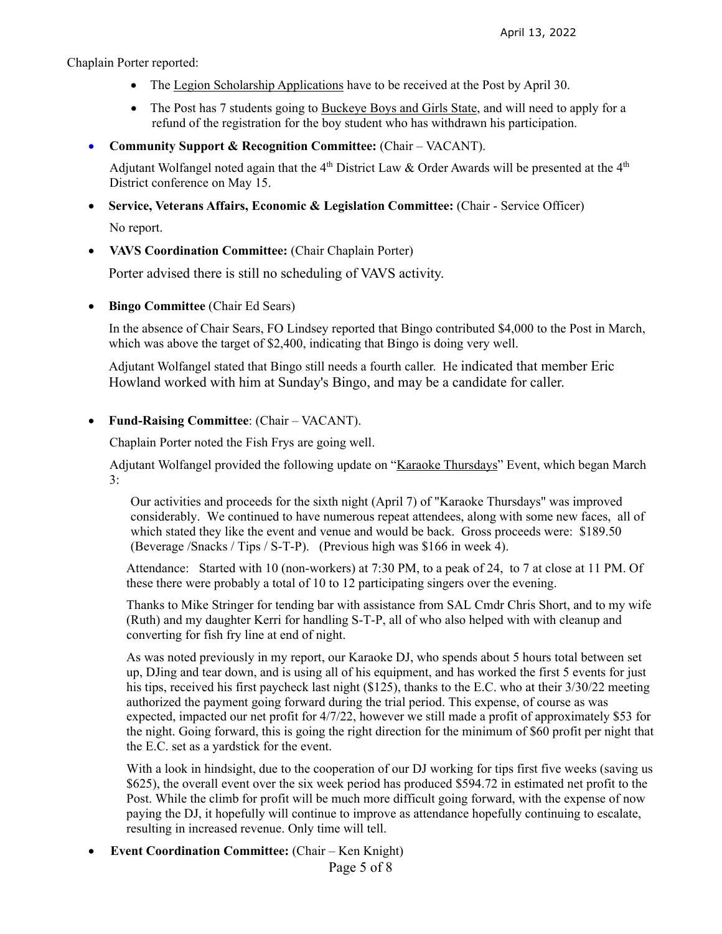Chaplain Porter reported:

- The Legion Scholarship Applications have to be received at the Post by April 30.
- The Post has 7 students going to Buckeye Boys and Girls State, and will need to apply for a refund of the registration for the boy student who has withdrawn his participation.
- **Community Support & Recognition Committee:** (Chair VACANT).

Adjutant Wolfangel noted again that the 4<sup>th</sup> District Law & Order Awards will be presented at the 4<sup>th</sup> District conference on May 15.

**Service, Veterans Affairs, Economic & Legislation Committee:** (Chair - Service Officer)

No report.

**VAVS Coordination Committee:** (Chair Chaplain Porter)

Porter advised there is still no scheduling of VAVS activity.

**Bingo Committee** (Chair Ed Sears)

In the absence of Chair Sears, FO Lindsey reported that Bingo contributed \$4,000 to the Post in March, which was above the target of \$2,400, indicating that Bingo is doing very well.

Adjutant Wolfangel stated that Bingo still needs a fourth caller. He indicated that member Eric Howland worked with him at Sunday's Bingo, and may be a candidate for caller.

**Fund-Raising Committee**: (Chair – VACANT).

Chaplain Porter noted the Fish Frys are going well.

Adjutant Wolfangel provided the following update on "Karaoke Thursdays" Event, which began March 3:

Our activities and proceeds for the sixth night (April 7) of "Karaoke Thursdays" was improved considerably. We continued to have numerous repeat attendees, along with some new faces, all of which stated they like the event and venue and would be back. Gross proceeds were: \$189.50 (Beverage /Snacks / Tips / S-T-P). (Previous high was \$166 in week 4).

Attendance: Started with 10 (non-workers) at 7:30 PM, to a peak of 24, to 7 at close at 11 PM. Of these there were probably a total of 10 to 12 participating singers over the evening.

Thanks to Mike Stringer for tending bar with assistance from SAL Cmdr Chris Short, and to my wife (Ruth) and my daughter Kerri for handling S-T-P, all of who also helped with with cleanup and converting for fish fry line at end of night.

As was noted previously in my report, our Karaoke DJ, who spends about 5 hours total between set up, DJing and tear down, and is using all of his equipment, and has worked the first 5 events for just his tips, received his first paycheck last night (\$125), thanks to the E.C. who at their 3/30/22 meeting authorized the payment going forward during the trial period. This expense, of course as was expected, impacted our net profit for 4/7/22, however we still made a profit of approximately \$53 for the night. Going forward, this is going the right direction for the minimum of \$60 profit per night that the E.C. set as a yardstick for the event.

With a look in hindsight, due to the cooperation of our DJ working for tips first five weeks (saving us \$625), the overall event over the six week period has produced \$594.72 in estimated net profit to the Post. While the climb for profit will be much more difficult going forward, with the expense of now paying the DJ, it hopefully will continue to improve as attendance hopefully continuing to escalate, resulting in increased revenue. Only time will tell.

**Event Coordination Committee:** (Chair – Ken Knight)

Page 5 of 8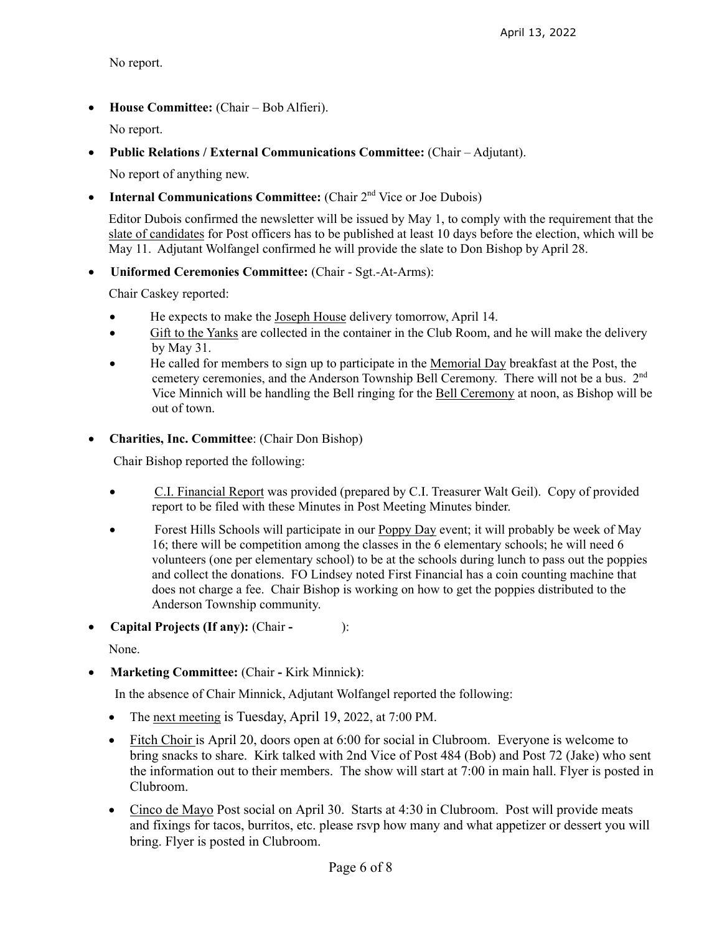No report.

**House Committee:** (Chair – Bob Alfieri).

No report.

**Public Relations / External Communications Committee:** (Chair – Adjutant).

No report of anything new.

• **Internal Communications Committee:** (Chair 2<sup>nd</sup> Vice or Joe Dubois)

Editor Dubois confirmed the newsletter will be issued by May 1, to comply with the requirement that the slate of candidates for Post officers has to be published at least 10 days before the election, which will be May 11. Adjutant Wolfangel confirmed he will provide the slate to Don Bishop by April 28.

**Uniformed Ceremonies Committee:** (Chair - Sgt.-At-Arms):

Chair Caskey reported:

- He expects to make the Joseph House delivery tomorrow, April 14.
- Gift to the Yanks are collected in the container in the Club Room, and he will make the delivery by May 31.
- He called for members to sign up to participate in the Memorial Day breakfast at the Post, the cemetery ceremonies, and the Anderson Township Bell Ceremony. There will not be a bus. 2<sup>nd</sup> Vice Minnich will be handling the Bell ringing for the Bell Ceremony at noon, as Bishop will be out of town.
- **Charities, Inc. Committee**: (Chair Don Bishop)

Chair Bishop reported the following:

- C.I. Financial Report was provided (prepared by C.I. Treasurer Walt Geil). Copy of provided report to be filed with these Minutes in Post Meeting Minutes binder.
- Forest Hills Schools will participate in our **Poppy Day** event; it will probably be week of May 16; there will be competition among the classes in the 6 elementary schools; he will need 6 volunteers (one per elementary school) to be at the schools during lunch to pass out the poppies and collect the donations. FO Lindsey noted First Financial has a coin counting machine that does not charge a fee. Chair Bishop is working on how to get the poppies distributed to the Anderson Township community.
- **Capital Projects (If any):** (Chair ):

None.

**Marketing Committee:** (Chair **-** Kirk Minnick**)**:

In the absence of Chair Minnick, Adjutant Wolfangel reported the following:

- The next meeting is Tuesday, April 19, 2022, at 7:00 PM.
- Fitch Choir is April 20, doors open at 6:00 for social in Clubroom. Everyone is welcome to bring snacks to share. Kirk talked with 2nd Vice of Post 484 (Bob) and Post 72 (Jake) who sent the information out to their members. The show will start at 7:00 in main hall. Flyer is posted in Clubroom.
- Cinco de Mayo Post social on April 30. Starts at 4:30 in Clubroom. Post will provide meats and fixings for tacos, burritos, etc. please rsvp how many and what appetizer or dessert you will bring. Flyer is posted in Clubroom.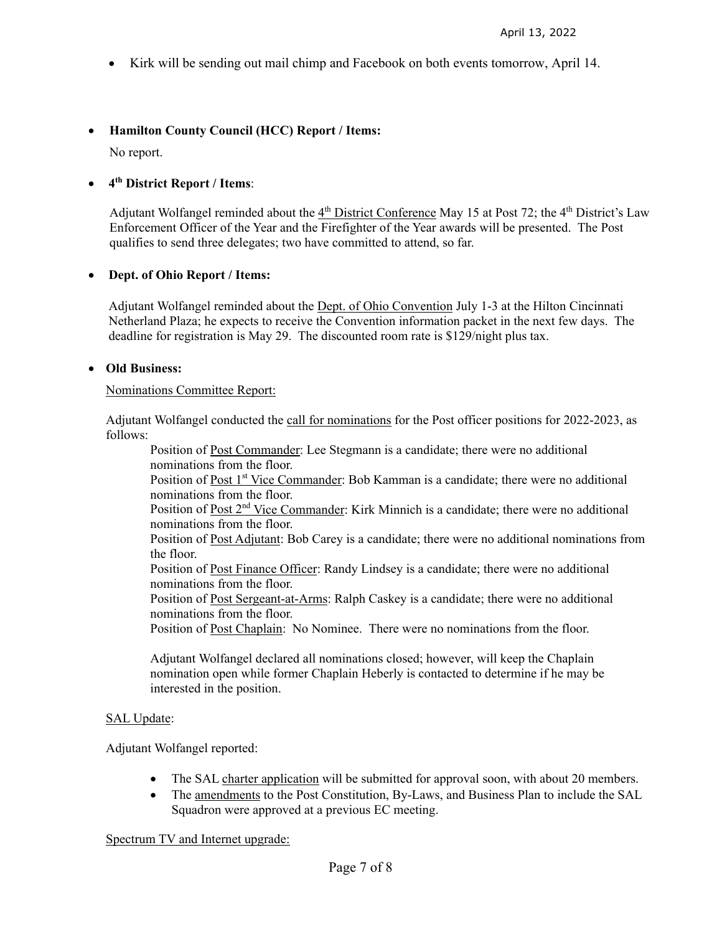Kirk will be sending out mail chimp and Facebook on both events tomorrow, April 14.

# **Hamilton County Council (HCC) Report / Items:**

No report.

# **4th District Report / Items**:

Adjutant Wolfangel reminded about the  $4<sup>th</sup>$  District Conference May 15 at Post 72; the 4<sup>th</sup> District's Law Enforcement Officer of the Year and the Firefighter of the Year awards will be presented. The Post qualifies to send three delegates; two have committed to attend, so far.

## **Dept. of Ohio Report / Items:**

Adjutant Wolfangel reminded about the Dept. of Ohio Convention July 1-3 at the Hilton Cincinnati Netherland Plaza; he expects to receive the Convention information packet in the next few days. The deadline for registration is May 29. The discounted room rate is \$129/night plus tax.

## **Old Business:**

#### Nominations Committee Report:

Adjutant Wolfangel conducted the call for nominations for the Post officer positions for 2022-2023, as follows:

Position of Post Commander: Lee Stegmann is a candidate; there were no additional nominations from the floor.

Position of Post 1<sup>st</sup> Vice Commander: Bob Kamman is a candidate; there were no additional nominations from the floor.

Position of Post 2<sup>nd</sup> Vice Commander: Kirk Minnich is a candidate; there were no additional nominations from the floor.

Position of Post Adjutant: Bob Carey is a candidate; there were no additional nominations from the floor.

Position of Post Finance Officer: Randy Lindsey is a candidate; there were no additional nominations from the floor.

Position of Post Sergeant-at-Arms: Ralph Caskey is a candidate; there were no additional nominations from the floor.

Position of Post Chaplain: No Nominee. There were no nominations from the floor.

Adjutant Wolfangel declared all nominations closed; however, will keep the Chaplain nomination open while former Chaplain Heberly is contacted to determine if he may be interested in the position.

#### SAL Update:

Adjutant Wolfangel reported:

- The SAL charter application will be submitted for approval soon, with about 20 members.
- The amendments to the Post Constitution, By-Laws, and Business Plan to include the SAL Squadron were approved at a previous EC meeting.

#### Spectrum TV and Internet upgrade: